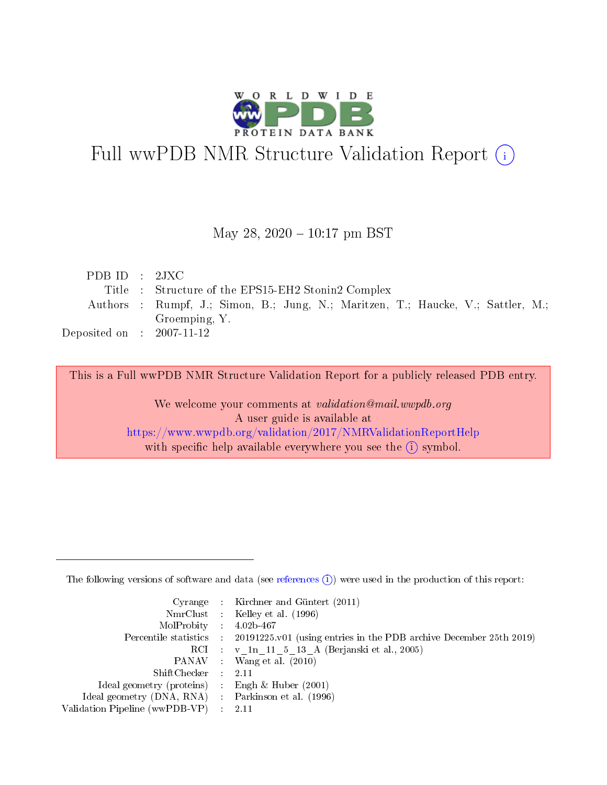

# Full wwPDB NMR Structure Validation Report (i)

#### May 28,  $2020 - 10:17$  pm BST

| PDBID : 2JXC                         |                                                                                  |
|--------------------------------------|----------------------------------------------------------------------------------|
|                                      | Title : Structure of the EPS15-EH2 Stonin2 Complex                               |
|                                      | Authors : Rumpf, J.; Simon, B.; Jung, N.; Maritzen, T.; Haucke, V.; Sattler, M.; |
|                                      | Groemping, Y.                                                                    |
| Deposited on $\therefore$ 2007-11-12 |                                                                                  |

This is a Full wwPDB NMR Structure Validation Report for a publicly released PDB entry.

We welcome your comments at *validation@mail.wwpdb.org* A user guide is available at <https://www.wwpdb.org/validation/2017/NMRValidationReportHelp> with specific help available everywhere you see the  $(i)$  symbol.

The following versions of software and data (see [references](https://www.wwpdb.org/validation/2017/NMRValidationReportHelp#references)  $(1)$ ) were used in the production of this report:

|                                                     | Cyrange : Kirchner and Güntert (2011)                                                      |
|-----------------------------------------------------|--------------------------------------------------------------------------------------------|
|                                                     | NmrClust : Kelley et al. (1996)                                                            |
| $MolProbability$ 4.02b-467                          |                                                                                            |
|                                                     | Percentile statistics : 20191225.v01 (using entries in the PDB archive December 25th 2019) |
|                                                     | RCI : v 1n 11 5 13 A (Berjanski et al., 2005)                                              |
|                                                     | PANAV : Wang et al. (2010)                                                                 |
| $ShiftChecker$ : 2.11                               |                                                                                            |
| Ideal geometry (proteins) : Engh $\&$ Huber (2001)  |                                                                                            |
| Ideal geometry (DNA, RNA) : Parkinson et al. (1996) |                                                                                            |
| Validation Pipeline (wwPDB-VP)                      | - 2.11                                                                                     |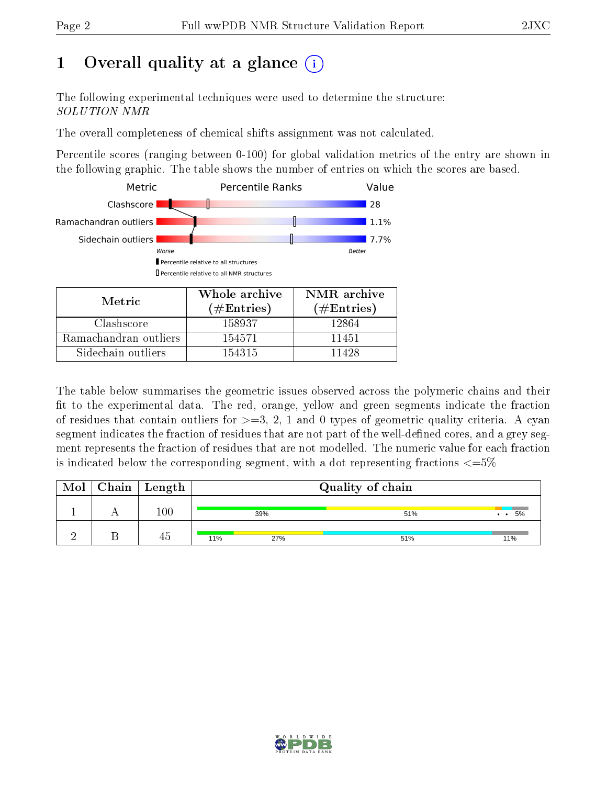## 1 [O](https://www.wwpdb.org/validation/2017/NMRValidationReportHelp#overall_quality)verall quality at a glance  $(i)$

The following experimental techniques were used to determine the structure: SOLUTION NMR

The overall completeness of chemical shifts assignment was not calculated.

Percentile scores (ranging between 0-100) for global validation metrics of the entry are shown in the following graphic. The table shows the number of entries on which the scores are based.



| Metric                | ( $\#\mathrm{Entries}$ ) | $(\#Entries)$ |  |
|-----------------------|--------------------------|---------------|--|
| Clashscore            | 158937                   | 12864         |  |
| Ramachandran outliers | 154571                   | 11451         |  |
| Sidechain outliers    | 154315                   | 11428         |  |

The table below summarises the geometric issues observed across the polymeric chains and their fit to the experimental data. The red, orange, yellow and green segments indicate the fraction of residues that contain outliers for  $>=3, 2, 1$  and 0 types of geometric quality criteria. A cyan segment indicates the fraction of residues that are not part of the well-defined cores, and a grey segment represents the fraction of residues that are not modelled. The numeric value for each fraction is indicated below the corresponding segment, with a dot representing fractions  $\epsilon = 5\%$ 

| Mol | ${\bf Chain}$ | Length  | Quality of chain |     |     |  |
|-----|---------------|---------|------------------|-----|-----|--|
|     |               | $100\,$ | 39%              | 51% | 5%  |  |
|     |               | 40      | 11%<br>27%       | 51% | 11% |  |

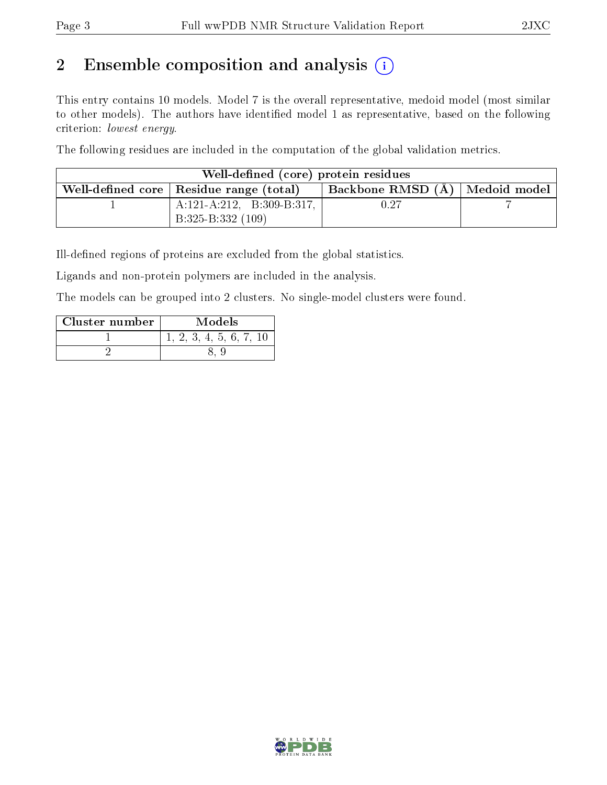## 2 Ensemble composition and analysis  $(i)$

This entry contains 10 models. Model 7 is the overall representative, medoid model (most similar to other models). The authors have identified model 1 as representative, based on the following criterion: lowest energy.

The following residues are included in the computation of the global validation metrics.

| Well-defined (core) protein residues                                            |                              |      |  |  |  |  |  |
|---------------------------------------------------------------------------------|------------------------------|------|--|--|--|--|--|
| Backbone RMSD (A)   Medoid model  <br>Well-defined core   Residue range (total) |                              |      |  |  |  |  |  |
|                                                                                 | $A:121-A:212$ , B:309-B:317, | 0.27 |  |  |  |  |  |
|                                                                                 | B:325-B:332 (109)            |      |  |  |  |  |  |

Ill-defined regions of proteins are excluded from the global statistics.

Ligands and non-protein polymers are included in the analysis.

The models can be grouped into 2 clusters. No single-model clusters were found.

| Cluster number | Models            |  |  |
|----------------|-------------------|--|--|
|                | 2, 3, 4, 5, 6, 7, |  |  |
|                |                   |  |  |

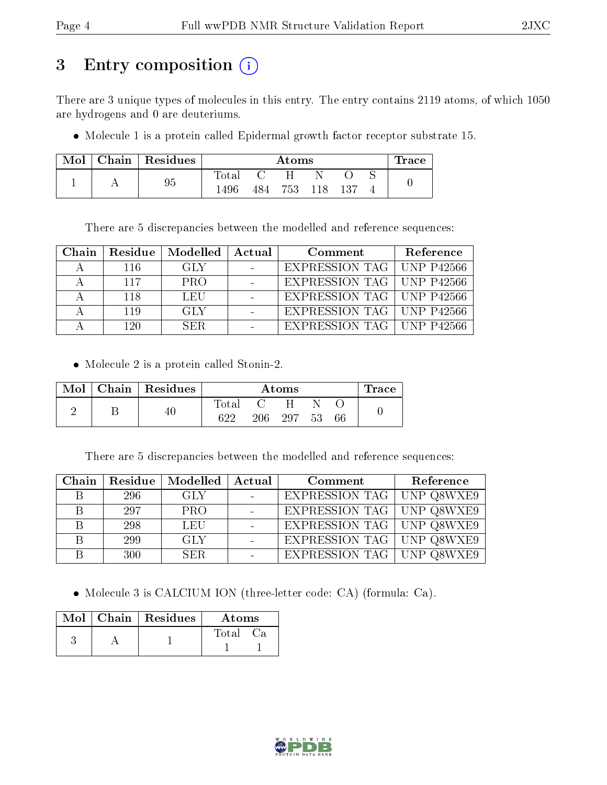## 3 Entry composition (i)

There are 3 unique types of molecules in this entry. The entry contains 2119 atoms, of which 1050 are hydrogens and 0 are deuteriums.

• Molecule 1 is a protein called Epidermal growth factor receptor substrate 15.

| Mol | Chain | Residues | $\rm{Atoms}$ |     |     |     |     | $\operatorname{Trace}$ |  |
|-----|-------|----------|--------------|-----|-----|-----|-----|------------------------|--|
|     |       |          | l'otal       |     |     |     |     |                        |  |
|     |       | 95       | 1496         | 484 | 753 | 118 | 137 |                        |  |

There are 5 discrepancies between the modelled and reference sequences:

| Chain |      | Residue   Modelled   Actual | Comment                            | Reference |
|-------|------|-----------------------------|------------------------------------|-----------|
|       | -116 | GLY.                        | EXPRESSION TAG   UNP P42566        |           |
|       | 117  | <b>PRO</b>                  | EXPRESSION TAG   UNP P42566        |           |
|       | 118  | LEU                         | EXPRESSION TAG   UNP P42566        |           |
|       | 119  | GLY                         | <b>EXPRESSION TAG   UNP P42566</b> |           |
|       | 120  | SER.                        | EXPRESSION TAG   UNP P42566        |           |

Molecule 2 is a protein called Stonin-2.

| Mol | Chain   Residues | $\rm{Atoms}$ |     |     |     | $\operatorname{Trace}$ |  |
|-----|------------------|--------------|-----|-----|-----|------------------------|--|
|     |                  | $\rm Total$  |     |     |     |                        |  |
|     | 40               | ດາາ          | 206 | 297 | -53 | 66                     |  |

There are 5 discrepancies between the modelled and reference sequences:

| Chain | Residue | Modelled   | Actual | Comment                            | Reference |
|-------|---------|------------|--------|------------------------------------|-----------|
|       | 296     | <b>GLY</b> |        | <b>EXPRESSION TAG</b>   UNP Q8WXE9 |           |
|       | 297     | <b>PRO</b> |        | EXPRESSION TAG UNP Q8WXE9          |           |
|       | 298     | <b>LEU</b> |        | <b>EXPRESSION TAG</b> UNP Q8WXE9   |           |
|       | 299     | <b>GLY</b> |        | <b>EXPRESSION TAG UNP Q8WXE9</b>   |           |
|       | 300     | <b>SER</b> |        | <b>EXPRESSION TAG</b> UNP Q8WXE9   |           |

Molecule 3 is CALCIUM ION (three-letter code: CA) (formula: Ca).

|  | $Mol$   Chain   Residues | Atoms       |
|--|--------------------------|-------------|
|  |                          | Total<br>Cа |

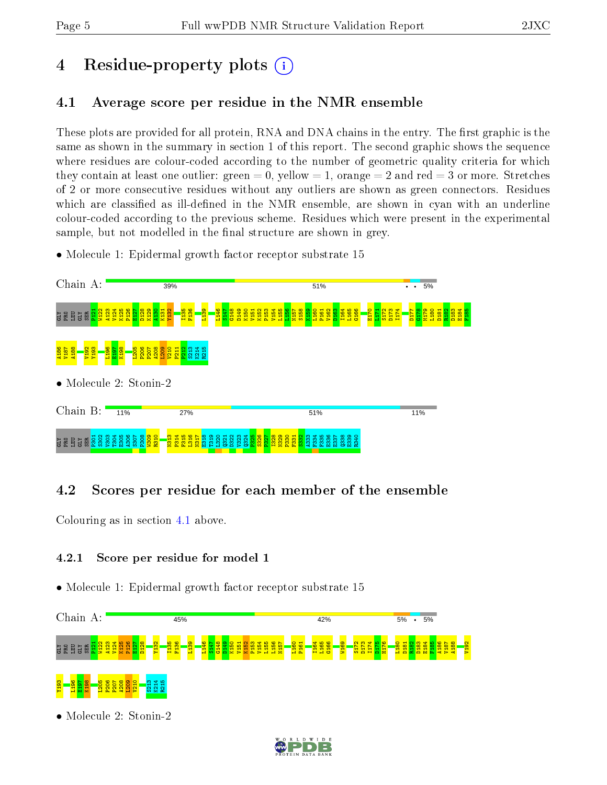## 4 Residue-property plots  $\binom{1}{1}$

## <span id="page-4-0"></span>4.1 Average score per residue in the NMR ensemble

These plots are provided for all protein, RNA and DNA chains in the entry. The first graphic is the same as shown in the summary in section 1 of this report. The second graphic shows the sequence where residues are colour-coded according to the number of geometric quality criteria for which they contain at least one outlier: green  $= 0$ , yellow  $= 1$ , orange  $= 2$  and red  $= 3$  or more. Stretches of 2 or more consecutive residues without any outliers are shown as green connectors. Residues which are classified as ill-defined in the NMR ensemble, are shown in cyan with an underline colour-coded according to the previous scheme. Residues which were present in the experimental sample, but not modelled in the final structure are shown in grey.

• Molecule 1: Epidermal growth factor receptor substrate 15



### 4.2 Scores per residue for each member of the ensemble

Colouring as in section [4.1](#page-4-0) above.

#### 4.2.1 Score per residue for model 1



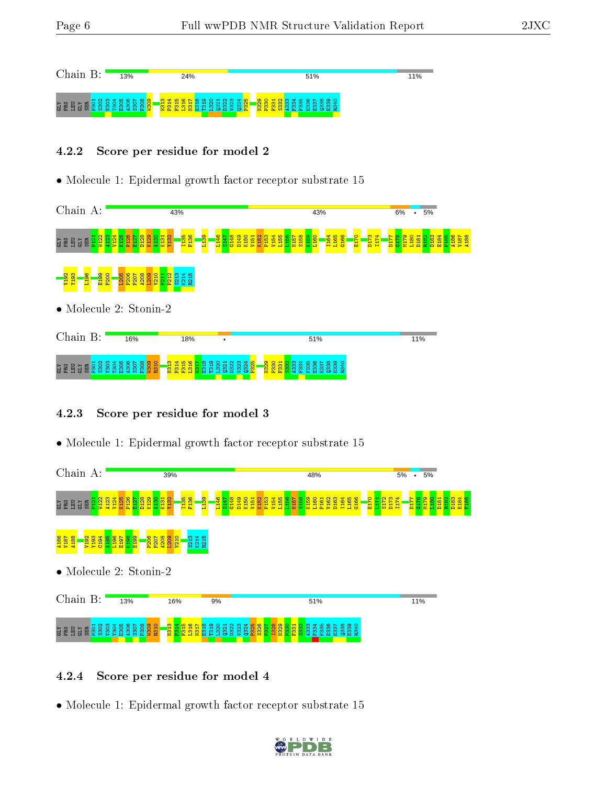| Chain                        | 13%                                                           | 24%                                                                        |                                                                                                          | 51%                                                                               | 11% |
|------------------------------|---------------------------------------------------------------|----------------------------------------------------------------------------|----------------------------------------------------------------------------------------------------------|-----------------------------------------------------------------------------------|-----|
| <b>DRID</b><br>ഗവ<br>ಀ<br>т. | H N M H N M<br>$\circ$<br>൹<br>ന<br>$M = W + Z$<br>m ><br>. . | ന സ<br>ത<br><del>.</del> .<br>lo.<br><mark>ិទ្ឋ តួ ក្នុង ក្នុង</mark><br>m | 0 4 5 6 6 7 8 9 0 1 8 9 9 4 <mark>6</mark><br>$N$ $N$ $N$<br>$\sim$<br>$\sim$<br>______<br><b>OAS GA</b> | ុ <mark>ន្តិទី</mark> ទីនឹងនិងនិង្គិន<br>_ത്ത്<br>-čó<br>Ξñ<br><b>LOCELLUIGUG</b> |     |

#### 4.2.2 Score per residue for model 2

• Molecule 1: Epidermal growth factor receptor substrate 15



#### 4.2.3 Score per residue for model 3

• Molecule 1: Epidermal growth factor receptor substrate 15



#### 4.2.4 Score per residue for model 4

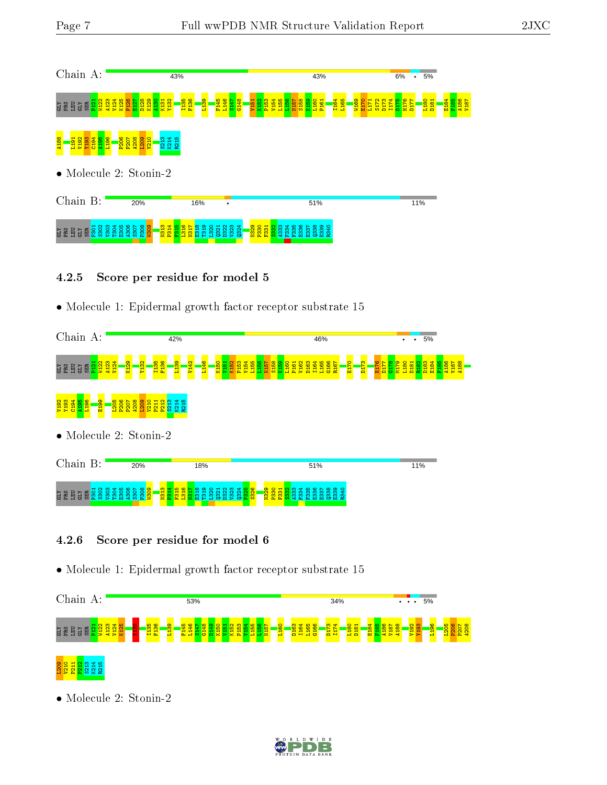

- 4.2.5 Score per residue for model 5
- Molecule 1: Epidermal growth factor receptor substrate 15



- 4.2.6 Score per residue for model 6
- Molecule 1: Epidermal growth factor receptor substrate 15



• Molecule 2: Stonin-2

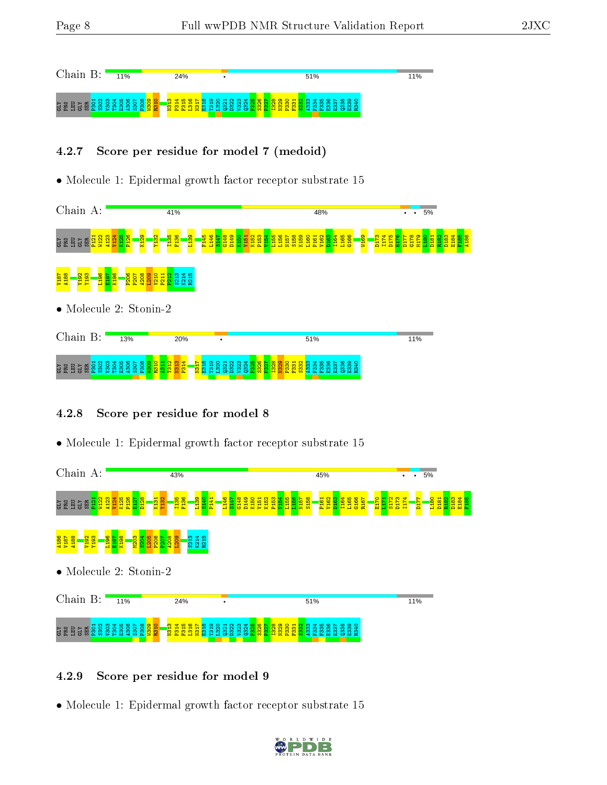

#### 4.2.7 Score per residue for model 7 (medoid)

• Molecule 1: Epidermal growth factor receptor substrate 15



### 4.2.8 Score per residue for model 8

• Molecule 1: Epidermal growth factor receptor substrate 15



#### 4.2.9 Score per residue for model 9

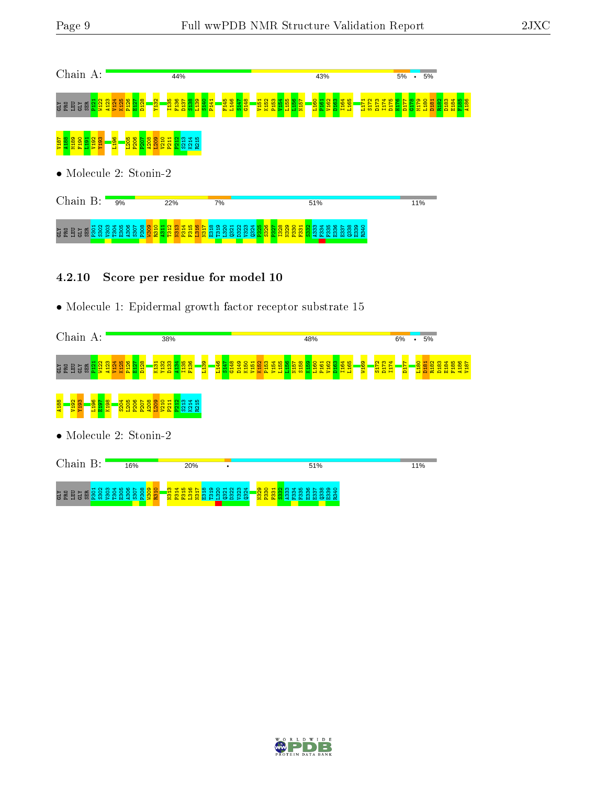

4.2.10 Score per residue for model 10

| Chain A:                                                                         |                                                                                                                       | 38%                                                                              |                                                                                    | 48%                                                                                                                                      |                                                                                                            | 6%<br>5%<br>$\bullet$                                                                                                                                        |
|----------------------------------------------------------------------------------|-----------------------------------------------------------------------------------------------------------------------|----------------------------------------------------------------------------------|------------------------------------------------------------------------------------|------------------------------------------------------------------------------------------------------------------------------------------|------------------------------------------------------------------------------------------------------------|--------------------------------------------------------------------------------------------------------------------------------------------------------------|
| P121<br>V122<br>A <sub>123</sub><br>SER<br>GLY<br>LEU<br>윤<br>ΣC                 | D <sub>128</sub><br>P <sub>126</sub><br>K <sub>125</sub><br><b>R</b><br>Ē<br>V <sub>124</sub><br>K <sub>13</sub><br>冨 | F <sub>136</sub><br>န္က<br>Y <sub>132</sub><br>L <sub>139</sub><br>Ξ<br>릅<br>ed. | 146<br>S147<br>Ş₿<br>D <sub>149</sub><br>K <sub>150</sub><br>V <sub>151</sub><br>릉 | <b>1986</b><br>1987<br>1988<br>L <sub>155</sub><br>L <sub>160</sub><br>P <sub>153</sub><br>P161<br>V162<br>D <sub>163</sub><br>V154<br>륯 | <b>PIT4</b><br>$\mathbf{\alpha}$<br>I <sub>164</sub><br>L <sub>165</sub><br><b>N169</b><br>S <sub>17</sub> | L <sub>180</sub><br>÷<br>N <sub>187</sub><br>R <sub>182</sub><br>D <sub>183</sub><br><b>D<sub>18</sub></b><br>$\frac{1}{2}$<br>E <sub>18</sub><br><b>TID</b> |
| <mark>987</mark><br>日 <mark>日日</mark><br><b>C6LA</b><br>A103<br>A <sub>188</sub> | P <sub>206</sub><br>A208<br>₩<br>$\frac{220}{220}$<br><b>P<sub>20</sub></b><br>20                                     | ī<br>K <sub>21</sub><br>g<br>lS.<br>£.                                           |                                                                                    |                                                                                                                                          |                                                                                                            |                                                                                                                                                              |
| • Molecule 2: Stonin-2                                                           |                                                                                                                       |                                                                                  |                                                                                    |                                                                                                                                          |                                                                                                            |                                                                                                                                                              |
| Chain B:                                                                         | 16%                                                                                                                   | 20%                                                                              |                                                                                    | 51%                                                                                                                                      |                                                                                                            | 11%                                                                                                                                                          |
| 5302<br>V303<br><b>P301</b><br><b>CLY</b><br><b>SER</b><br>로 로<br>ζIJ,           | <b>80S</b><br>유<br>308<br>305<br>306<br>307<br><b>1304</b>                                                            | $\frac{1}{2}$<br>ョ                                                               | v <sub>324</sub><br>320<br>D322<br>0321                                            | 11329<br>1230<br>ത<br>ᆔ<br>႙ၟ<br>F334<br>336<br>စ္က<br>੩<br>m                                                                            |                                                                                                            |                                                                                                                                                              |

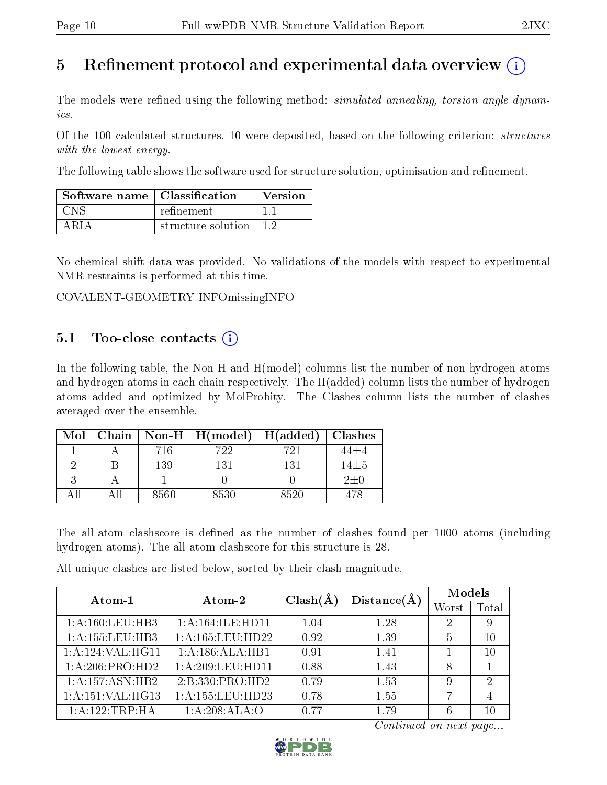## 5 Refinement protocol and experimental data overview  $\overline{()}$

The models were refined using the following method: *simulated annealing, torsion angle dynam*ics.

Of the 100 calculated structures, 10 were deposited, based on the following criterion: structures with the lowest energy.

The following table shows the software used for structure solution, optimisation and refinement.

| Software name   Classification |                              | Version |
|--------------------------------|------------------------------|---------|
| CNS                            | refinement                   |         |
| ARIA                           | structure solution $\pm 1.2$ |         |

No chemical shift data was provided. No validations of the models with respect to experimental NMR restraints is performed at this time.

COVALENT-GEOMETRY INFOmissingINFO

### 5.1 Too-close contacts  $(i)$

In the following table, the Non-H and H(model) columns list the number of non-hydrogen atoms and hydrogen atoms in each chain respectively. The H(added) column lists the number of hydrogen atoms added and optimized by MolProbity. The Clashes column lists the number of clashes averaged over the ensemble.

| Mol | Chain |      | Non-H $\mid$ H(model) | H(added) | <b>Clashes</b> |
|-----|-------|------|-----------------------|----------|----------------|
|     |       | 716  | 722                   | 721      | 44土4           |
|     |       | 139  | 131                   | 131      | $14\pm5$       |
|     |       |      |                       |          | $2\pm 0$       |
|     |       | 8560 | 8530                  | 8520     | 178            |

The all-atom clashscore is defined as the number of clashes found per 1000 atoms (including hydrogen atoms). The all-atom clashscore for this structure is 28.

All unique clashes are listed below, sorted by their clash magnitude.

| $Atom-1$            | Atom-2               | $Clash(\AA)$ | Distance(A) | Models |                             |
|---------------------|----------------------|--------------|-------------|--------|-----------------------------|
|                     |                      |              |             | Worst  | $\rm Total$                 |
| 1: A: 160: LEU: HB3 | 1: A: 164: ILE: HD11 | 1.04         | 1.28        | 2      | 9                           |
| 1: A: 155: LEU: HB3 | 1: A: 165: LEU: HD22 | 0.92         | 1.39        | 5      | 10                          |
| 1:A:124:VAL:HG11    | 1:A:186:ALA:HB1      | 0.91         | 1.41        |        | 10                          |
| 1:A:206:PRO:HD2     | 1: A:209:LEU:HD11    | 0.88         | 1.43        | 8      |                             |
| 1:A:157:ASN:HB2     | 2:B:330:PRO:HD2      | 0.79         | 1.53        | 9      | $\mathcal{D}_{\mathcal{L}}$ |
| 1:A:151:VAL:HG13    | 1: A: 155: LEU: HD23 | 0.78         | 1.55        |        |                             |
| 1:A:122:TRP:HA      | 1:A:208:ALA:O        | 0.77         | 1 79        | 6      | 10                          |

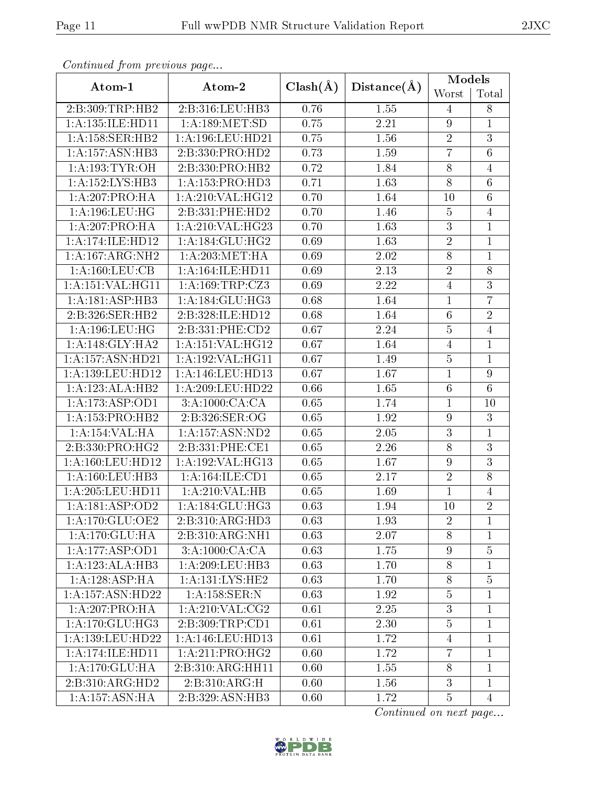| Conningea from previous page |                             |              |             | Models           |                 |  |
|------------------------------|-----------------------------|--------------|-------------|------------------|-----------------|--|
| Atom-1                       | Atom-2                      | $Clash(\AA)$ | Distance(A) | Worst            | Total           |  |
| 2:B:309:TRP:HB2              | 2:B:316:LEU:HB3             | 0.76         | 1.55        | $\overline{4}$   | $8\,$           |  |
| 1: A: 135: ILE: HD11         | 1: A: 189: MET: SD          | 0.75         | 2.21        | 9                | $\mathbf{1}$    |  |
| 1:A:158:SER:HB2              | 1:A:196:LEU:HD21            | 0.75         | 1.56        | $\sqrt{2}$       | $\overline{3}$  |  |
| 1: A: 157: ASN: HB3          | 2:B:330:PRO:HD2             | 0.73         | 1.59        | $\overline{7}$   | $\overline{6}$  |  |
| 1: A:193:TYR:OH              | 2:B:330:PRO:HB2             | 0.72         | 1.84        | $8\,$            | $\overline{4}$  |  |
| 1:A:152:LYS:HB3              | 1:A:153:PRO:HD3             | 0.71         | 1.63        | $\overline{8}$   | $6\phantom{.}6$ |  |
| 1:A:207:PRO:HA               | 1:A:210:VAL:HG12            | 0.70         | 1.64        | 10               | $\overline{6}$  |  |
| 1: A: 196: LEU: HG           | 2:B:331:PHE:HD2             | 0.70         | 1.46        | $\bf 5$          | $\overline{4}$  |  |
| 1:A:207:PRO:HA               | 1:A:210:VAL:HG23            | 0.70         | 1.63        | $\overline{3}$   | $\mathbf 1$     |  |
| 1:A:174:ILE:HD12             | 1: A:184: GLU: HG2          | 0.69         | 1.63        | $\sqrt{2}$       | 1               |  |
| 1:A:167:ARG:NH2              | 1: A:203:MET:HA             | 0.69         | 2.02        | $8\,$            | $\mathbf{1}$    |  |
| 1: A: 160: LEU: CB           | 1: A: 164: ILE: HD11        | 0.69         | 2.13        | $\sqrt{2}$       | $8\,$           |  |
| 1:A:151:VAL:HG11             | 1:A:169:TRP:CZ3             | 0.69         | 2.22        | $\overline{4}$   | $\overline{3}$  |  |
| 1:A:181:ASP:HB3              | 1: A:184: GLU: HG3          | 0.68         | 1.64        | $\mathbf{1}$     | $\overline{7}$  |  |
| 2:B:326:SER:HB2              | 2:B:328:ILE:HD12            | 0.68         | 1.64        | $6\phantom{.}6$  | $\overline{2}$  |  |
| 1:A:196:LEU:HG               | 2:B:331:PHE:CD2             | 0.67         | 2.24        | $\overline{5}$   | $\overline{4}$  |  |
| 1: A:148: GLY:HA2            | 1:A:151:VAL:HG12            | 0.67         | 1.64        | $\overline{4}$   | $\mathbf 1$     |  |
| 1: A: 157: ASN: HD21         | 1:A:192:VAL:HG11            | 0.67         | 1.49        | $\overline{5}$   | $\overline{1}$  |  |
| 1:A:139:LEU:HD12             | 1:A:146:LEU:HD13            | 0.67         | 1.67        | $\mathbf 1$      | $\overline{9}$  |  |
| 1:A:123:ALA:HB2              | 1:A:209:LEU:HD22            | 0.66         | 1.65        | $\,6\,$          | 6               |  |
| 1:A:173:ASP:OD1              | $3:A:1000:\overline{CA:CA}$ | 0.65         | 1.74        | $\mathbf{1}$     | 10              |  |
| 1:A:153:PRO:HB2              | 2:B:326:SER:OG              | 0.65         | 1.92        | $\boldsymbol{9}$ | $\overline{3}$  |  |
| 1:A:154:VAL:HA               | 1: A: 157: ASN: ND2         | 0.65         | 2.05        | $\overline{3}$   | $\mathbf{1}$    |  |
| 2:B:330:PRO:HG2              | 2:B:331:PHE:CE1             | 0.65         | 2.26        | $8\,$            | $\overline{3}$  |  |
| 1:A:160:LEU:HD12             | 1:A:192:VAL:HG13            | 0.65         | 1.67        | $\boldsymbol{9}$ | $\overline{3}$  |  |
| 1:A:160:LEU:HB3              | 1: A:164: ILE: CD1          | 0.65         | 2.17        | $\overline{2}$   | $\overline{8}$  |  |
| 1: A:205:LEU:HD11            | 1: A:210: VAL: HB           | 0.65         | 1.69        | $\mathbf{1}$     | $\overline{4}$  |  |
| 1:A:181:ASP:OD2              | 1: A:184: GLU: HG3          | 0.63         | 1.94        | 10               | $\overline{2}$  |  |
| 1: A:170: GLU:OE2            | 2:B:310:ARG:HD3             | 0.63         | 1.93        | $\overline{2}$   | 1               |  |
| 1:A:170:GLU:HA               | 2:B:310:ARG:NH1             | 0.63         | 2.07        | 8                | $\mathbf 1$     |  |
| 1:A:177:ASP:OD1              | 3:A:1000:CA:CA              | 0.63         | 1.75        | $\boldsymbol{9}$ | $\overline{5}$  |  |
| 1:A:123:ALA:HB3              | 1: A:209:LEU:HB3            | 0.63         | 1.70        | $8\,$            | $\overline{1}$  |  |
| 1: A: 128: ASP:HA            | 1:A:131:LYS:HE2             | 0.63         | 1.70        | $8\,$            | $\overline{5}$  |  |
| 1:A:157:ASN:HD22             | 1: A: 158: SER: N           | 0.63         | 1.92        | $\overline{5}$   | $\mathbf 1$     |  |
| 1:A:207:PRO:HA               | 1:A:210:VAL:CG2             | 0.61         | 2.25        | $\sqrt{3}$       | 1               |  |
| 1: A:170: GLU:HG3            | 2: B:309:TRP:CD1            | 0.61         | 2.30        | $\overline{5}$   | $\mathbf{1}$    |  |
| 1:A:139:LEU:HD22             | 1: A:146:LEU:HD13           | 0.61         | 1.72        | $\overline{4}$   | $\mathbf 1$     |  |
| 1:A:174:ILE:HD11             | 1:A:211:PRO:HG2             | 0.60         | 1.72        | $\overline{7}$   | 1               |  |
| 1:A:170:GLU:HA               | 2:B:310:ARG:HH11            | 0.60         | 1.55        | 8                | 1               |  |
| 2:B:310:ARG:HD2              | 2:B:310:ARG:H               | 0.60         | 1.56        | $\mathbf{3}$     | $\mathbf 1$     |  |
| 1: A: 157: ASN: HA           | 2:B:329:ASN:HB3             | 0.60         | 1.72        | $\overline{5}$   | $\overline{4}$  |  |

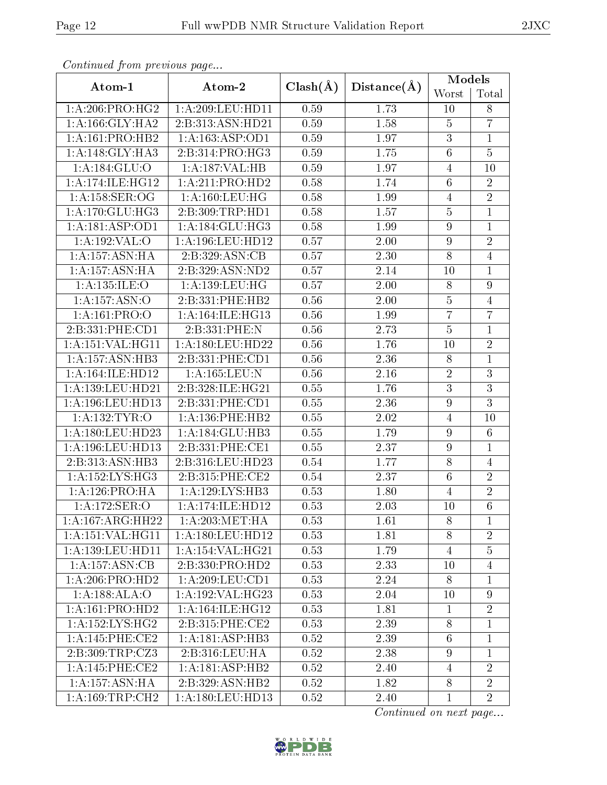| Continuou jiom protivus pugo     |                      |              |                   | Models           |                 |
|----------------------------------|----------------------|--------------|-------------------|------------------|-----------------|
| Atom-1                           | Atom-2               | $Clash(\AA)$ | Distance(A)       | Worst            | Total           |
| 1: A:206:PRO:HG2                 | 1: A:209: LEU: HD11  | 0.59         | 1.73              | 10               | $8\,$           |
| 1: A: 166: GLY: HA2              | 2:B:313:ASN:HD21     | 0.59         | 1.58              | $\overline{5}$   | $\overline{7}$  |
| 1: A: 161: PRO: HB2              | 1: A: 163: ASP: OD1  | 0.59         | 1.97              | $\overline{3}$   | $\mathbf{1}$    |
| 1: A:148: GLY:HA3                | 2:B:314:PRO:HG3      | 0.59         | 1.75              | $\,6\,$          | $\overline{5}$  |
| 1:A:184:GLU:O                    | 1:A:187:VAL:HB       | 0.59         | 1.97              | 4                | 10              |
| 1:A:174:ILE:HG12                 | 1:A:211:PRO:HD2      | 0.58         | 1.74              | $6\,$            | $\overline{2}$  |
| 1:A:158:SER:OG                   | 1: A:160: LEU: HG    | 0.58         | 1.99              | $\overline{4}$   | $\overline{2}$  |
| 1: A:170: GLU:HG3                | 2:B:309:TRP:HD1      | 0.58         | 1.57              | $\bf 5$          | $\mathbf{1}$    |
| 1:A:181:ASP:OD1                  | 1:A:184:GLU:HG3      | 0.58         | 1.99              | $\boldsymbol{9}$ | $\overline{1}$  |
| 1:A:192:VAL:O                    | 1:A:196:LEU:HD12     | 0.57         | 2.00              | $\boldsymbol{9}$ | $\overline{2}$  |
| 1: A: 157: ASN: HA               | 2: B:329: ASN: CB    | 0.57         | $\overline{2.30}$ | $\overline{8}$   | $\overline{4}$  |
| 1: A: 157: ASN: HA               | 2:B:329:ASN:ND2      | 0.57         | 2.14              | 10               | $\mathbf{1}$    |
| 1: A: 135: ILE: O                | 1:A:139:LEU:HG       | 0.57         | $2.00\,$          | $8\,$            | $\overline{9}$  |
| 1: A: 157: <u>ASN</u> : <u>O</u> | 2:B:331:PHE:HB2      | 0.56         | 2.00              | $\bf 5$          | $\overline{4}$  |
| 1:A:161:PRO:O                    | 1: A:164: ILE: HG13  | 0.56         | 1.99              | $\overline{7}$   | $\overline{7}$  |
| 2:B:331:PHE:CD1                  | 2:B:331:PHE:N        | 0.56         | 2.73              | $\overline{5}$   | $\mathbf{1}$    |
| 1:A:151:VAL:HG11                 | 1: A: 180: LEU: HD22 | 0.56         | 1.76              | 10               | $\overline{2}$  |
| 1:A:157:ASN:HB3                  | 2:B:331:PHE:CD1      | 0.56         | 2.36              | $8\,$            | $\overline{1}$  |
| 1:A:164:ILE:HD12                 | 1:A:165:LEU:N        | 0.56         | 2.16              | $\sqrt{2}$       | $\overline{3}$  |
| 1:A:139:LEU:HD21                 | 2:B:328:ILE:HG21     | 0.55         | 1.76              | $\sqrt{3}$       | $\overline{3}$  |
| 1:A:196:LEU:HD13                 | 2:B:331:PHE:CD1      | 0.55         | 2.36              | $\boldsymbol{9}$ | $\overline{3}$  |
| 1: A: 132: TYR: O                | 1: A: 136: PHE: HB2  | 0.55         | $2.02\,$          | $\overline{4}$   | 10              |
| 1:A:180:LEU:HD23                 | 1:A:184:GLU:HB3      | 0.55         | 1.79              | $9\phantom{.}$   | $6\phantom{.}6$ |
| 1:A:196:LEU:HD13                 | 2:B:331:PHE:CE1      | 0.55         | 2.37              | $\boldsymbol{9}$ | $\mathbf 1$     |
| 2:B:313:ASN:HB3                  | 2:B:316:LEU:HD23     | 0.54         | 1.77              | $8\,$            | $\overline{4}$  |
| 1: A: 152: LYS: HG3              | 2:B:315:PHE:CE2      | 0.54         | 2.37              | $\,6\,$          | $\overline{2}$  |
| 1:A:126:PRO:HA                   | 1:A:129:LYS:HB3      | 0.53         | 1.80              | $\overline{4}$   | $\overline{2}$  |
| 1:A:172:SER:O                    | 1:A:174:ILE:HD12     | 0.53         | 2.03              | 10               | $\overline{6}$  |
| 1:A:167:ARG:HH22                 | 1: A:203: MET:HA     | 0.53         | 1.61              | 8                | 1               |
| 1:A:151:VAL:HG11                 | 1:A:180:LEU:HD12     | 0.53         | 1.81              | 8                | $\overline{2}$  |
| 1: A: 139: LEU: HD11             | 1: A:154: VAL:HG21   | 0.53         | 1.79              | $\overline{4}$   | $\overline{5}$  |
| 1:A:157:ASN:CB                   | 2:B:330:PRO:HD2      | 0.53         | 2.33              | 10               | $\overline{4}$  |
| 1: A:206:PRO:HD2                 | 1: A:209:LEU:CD1     | 0.53         | 2.24              | 8                | 1               |
| 1:A:188:ALA:O                    | 1:A:192:VAL:HG23     | 0.53         | 2.04              | 10               | 9               |
| 1:A:161:PRO:HD2                  | 1: A:164: ILE: HG12  | 0.53         | 1.81              | $\mathbf 1$      | $\overline{2}$  |
| 1: A: 152: LYS: HG2              | 2:B:315:PHE:CE2      | 0.53         | 2.39              | $8\,$            | $\overline{1}$  |
| 1: A:145:PHE:CE2                 | 1:A:181:ASP:HB3      | 0.52         | 2.39              | $6\,$            | 1               |
| 2:B:309:TRP:CZ3                  | 2:B:316:LEU:HA       | 0.52         | 2.38              | $9\phantom{.0}$  | $\mathbf 1$     |
| 1: A:145:PHE:CE2                 | 1: A:181: ASP:HB2    | 0.52         | 2.40              | $\overline{4}$   | $\overline{2}$  |
| 1:A:157:ASN:HA                   | 2:B:329:ASN:HB2      | 0.52         | 1.82              | 8                | $\overline{2}$  |
| 1: A:169:TRP:CH2                 | 1:A:180:LEU:HD13     | 0.52         | 2.40              | $\mathbf{1}$     | $\overline{2}$  |

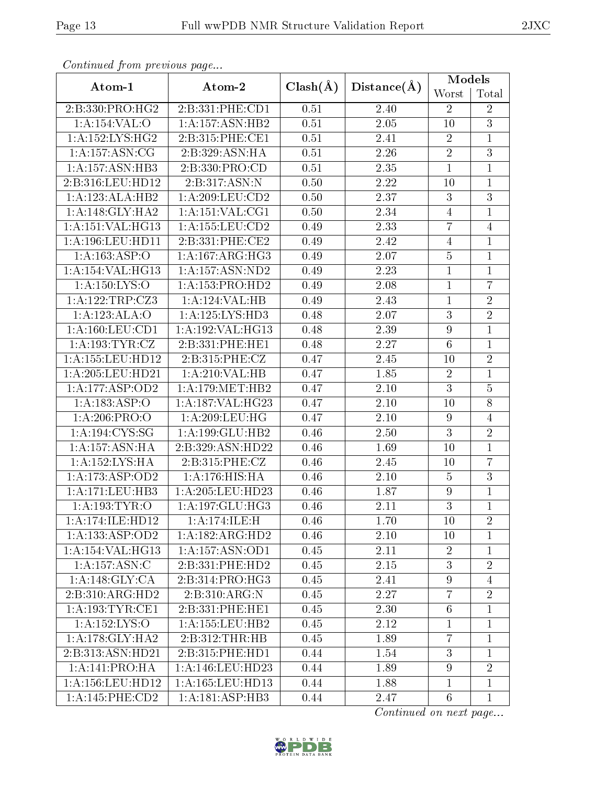| Continual from previous page |                     |              |                   | Models           |                |  |
|------------------------------|---------------------|--------------|-------------------|------------------|----------------|--|
| Atom-1                       | Atom-2              | $Clash(\AA)$ | Distance(A)       | Worst            | Total          |  |
| 2:B:330:PRO:HG2              | 2:B:331:PHE:CD1     | 0.51         | 2.40              | $\overline{2}$   | $\overline{2}$ |  |
| 1:A:154:VAL:O                | 1:A:157:ASN:HB2     | 0.51         | $\overline{2.05}$ | 10               | $\overline{3}$ |  |
| 1: A: 152: LYS: HG2          | 2:B:315:PHE:CE1     | 0.51         | $2.41\,$          | $\sqrt{2}$       | $\mathbf{1}$   |  |
| 1: A: 157: ASN: CG           | 2:B:329:ASN:HA      | 0.51         | 2.26              | $\overline{2}$   | $\overline{3}$ |  |
| 1:A:157:ASN:HB3              | 2:B:330:PRO:CD      | 0.51         | 2.35              | $\mathbf{1}$     | $\mathbf{1}$   |  |
| 2:B:316:LEU:HD12             | 2:B:317:ASN:N       | 0.50         | 2.22              | 10               | 1              |  |
| 1:A:123:ALA:HB2              | 1: A:209:LEU:CD2    | 0.50         | 2.37              | $\boldsymbol{3}$ | $\overline{3}$ |  |
| 1: A:148: GLY:HA2            | 1: A: 151: VAL: CG1 | 0.50         | 2.34              | $\overline{4}$   | $\mathbf{1}$   |  |
| 1:A:151:VAL:HG13             | 1:A:155:LEU:CD2     | 0.49         | 2.33              | $\overline{7}$   | $\overline{4}$ |  |
| 1:A:196:LEU:HD11             | 2:B:331:PHE:CE2     | 0.49         | 2.42              | $\overline{4}$   | $\mathbf 1$    |  |
| 1:A:163:ASP:O                | 1:A:167:ARG:HG3     | 0.49         | $\overline{2.07}$ | $\overline{5}$   | $\mathbf{1}$   |  |
| 1:A:154:VAL:HG13             | 1:A:157:ASN:ND2     | 0.49         | 2.23              | $\mathbf{1}$     | $\mathbf{1}$   |  |
| 1:A:150:LYS:O                | 1:A:153:PRO:HD2     | 0.49         | 2.08              | $\overline{1}$   | $\overline{7}$ |  |
| 1:A:122:TRP:CZ3              | 1:A:124:VAL:HB      | 0.49         | 2.43              | $\mathbf{1}$     | $\overline{2}$ |  |
| 1:A:123:ALA:O                | 1:A:125:LYS:HD3     | 0.48         | 2.07              | 3                | $\overline{2}$ |  |
| 1: A: 160: LEU: CD1          | 1:A:192:VAL:HG13    | 0.48         | 2.39              | $\overline{9}$   | $\mathbf{1}$   |  |
| 1:A:193:TYR:CZ               | 2:B:331:PHE:HE1     | 0.48         | 2.27              | $6\,$            | $\overline{1}$ |  |
| 1: A: 155: LEU: HD12         | 2:B:315:PHE:CZ      | 0.47         | 2.45              | 10               | $\overline{2}$ |  |
| 1:A:205:LEU:HD21             | 1:A:210:VAL:HB      | 0.47         | 1.85              | $\sqrt{2}$       | $\overline{1}$ |  |
| 1:A:177:ASP:OD2              | 1: A:179: MET:HB2   | 0.47         | $2.10\,$          | $\mathbf{3}$     | $\overline{5}$ |  |
| 1:A:183:ASP:O                | 1:A:187:VAL:HG23    | 0.47         | 2.10              | 10               | $\overline{8}$ |  |
| 1:A:206:PRO:O                | 1:A:209:LEU:HG      | 0.47         | $2.10\,$          | $\boldsymbol{9}$ | $\overline{4}$ |  |
| 1:A:194:CYS:SG               | 1: A: 199: GLU: HB2 | 0.46         | 2.50              | $\overline{3}$   | $\overline{2}$ |  |
| 1: A: 157: ASN: HA           | 2:B:329:ASN:HD22    | 0.46         | 1.69              | 10               | $\mathbf{1}$   |  |
| 1:A:152:LYS:HA               | 2:B:315:PHE:CZ      | 0.46         | 2.45              | 10               | $\overline{7}$ |  |
| 1:A:173:ASP:OD2              | 1:A:176:HIS:HA      | 0.46         | $2.10\,$          | $\overline{5}$   | $\overline{3}$ |  |
| 1:A:171:LEU:HB3              | 1:A:205:LEU:HD23    | 0.46         | 1.87              | 9                | $\mathbf{1}$   |  |
| 1: A: 193: TYR: O            | 1:A:197:GLU:HG3     | 0.46         | 2.11              | $\overline{3}$   | $\overline{1}$ |  |
| 1:A:174:ILE:HD12             | 1:A:174:ILE:H       | 0.46         | 1.70              | 10               | $\overline{2}$ |  |
| 1:A:133:ASP:OD2              | 1:A:182:ARG:HD2     | 0.46         | 2.10              | 10               | $\mathbf{1}$   |  |
| 1:A:154:VAL:HG13             | 1:A:157:ASN:OD1     | 0.45         | 2.11              | $\overline{2}$   | $\mathbf{1}$   |  |
| 1: A: 157: ASN: C            | 2:B:331:PHE:HD2     | 0.45         | 2.15              | 3                | $\overline{2}$ |  |
| 1:A:148:GLY:CA               | 2:B:314:PRO:HG3     | 0.45         | 2.41              | $\boldsymbol{9}$ | $\overline{4}$ |  |
| 2:B:310:ARG:HD2              | 2:B:310:ARG:N       | 0.45         | 2.27              | $\overline{7}$   | $\overline{2}$ |  |
| 1: A: 193: TYR: CE1          | 2:B:331:PHE:HE1     | 0.45         | 2.30              | $6\phantom{.}6$  | $\mathbf{1}$   |  |
| 1:A:152:LYS:O                | 1: A: 155: LEU: HB2 | 0.45         | 2.12              | $\mathbf{1}$     | $\mathbf{1}$   |  |
| 1: A:178: GLY:HA2            | 2:B:312:THR:HB      | 0.45         | 1.89              | $\overline{7}$   | $\mathbf{1}$   |  |
| 2:B:313:ASN:HD21             | 2:B:315:PHE:HD1     | 0.44         | 1.54              | 3                | $\mathbf{1}$   |  |
| 1: A:141: PRO:HA             | 1:A:146:LEU:HD23    | 0.44         | 1.89              | $\boldsymbol{9}$ | $\overline{2}$ |  |
| 1: A: 156: LEU: HD12         | 1:A:165:LEU:HD13    | 0.44         | 1.88              | $\mathbf{1}$     | $\mathbf{1}$   |  |
| 1: A:145:PHE:CD2             | 1:A:181:ASP:HB3     | 0.44         | 2.47              | $\,6$            | $\mathbf{1}$   |  |

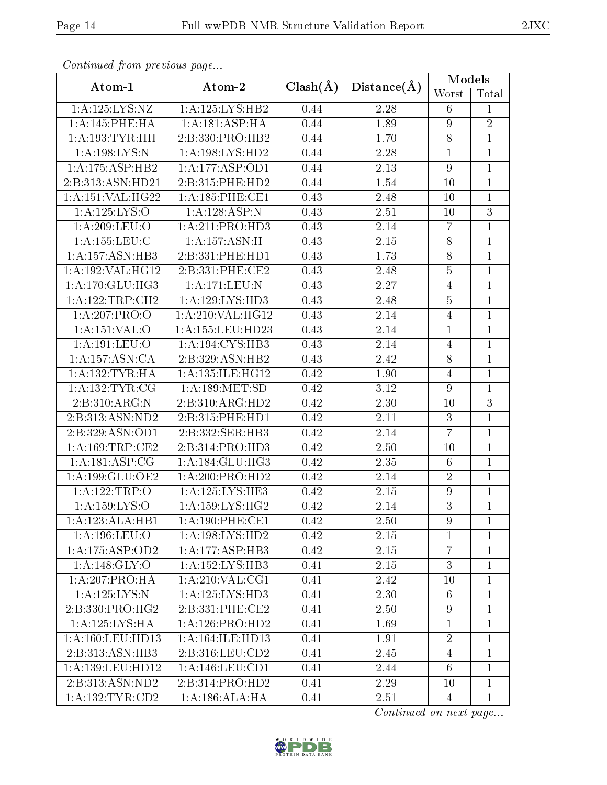| continual from previous page |                                     |                             |                   | Models           |                |
|------------------------------|-------------------------------------|-----------------------------|-------------------|------------------|----------------|
| Atom-1                       | Atom-2                              | $Clash(\AA)$<br>Distance(A) |                   | Worst            | Total          |
| 1:A:125:LYS:NZ               | 1:A:125:LYS:HB2                     | 0.44                        | 2.28              | 6                | $\mathbf 1$    |
| 1:A:145:PHE:HA               | 1: A:181: ASP: HA                   | 0.44                        | 1.89              | $\overline{9}$   | $\overline{2}$ |
| 1: A: 193: TYR: HH           | 2:B:330:PRO:HB2                     | 0.44                        | 1.70              | $8\,$            | $\mathbf{1}$   |
| 1: A: 198: LYS:N             | $1:A:198:\overline{\text{LYS:HD2}}$ | 0.44                        | 2.28              | $\mathbf{1}$     | $\mathbf{1}$   |
| 1:A:175:ASP:HB2              | 1:A:177:ASP:OD1                     | 0.44                        | 2.13              | $\boldsymbol{9}$ | $\mathbf{1}$   |
| 2:B:313:ASN:HD21             | 2:B:315:PHE:HD2                     | 0.44                        | 1.54              | 10               | $\mathbf{1}$   |
| 1:A:151:VAL:HG22             | 1:A:185:PHE:CE1                     | 0.43                        | 2.48              | 10               | $\overline{1}$ |
| 1:A:125:LYS:O                | 1:A:128:ASP:N                       | 0.43                        | 2.51              | 10               | 3              |
| 1:A:209:LEU:O                | 1: A:211: PRO:HD3                   | 0.43                        | 2.14              | $\overline{7}$   | $\mathbf{1}$   |
| 1: A: 155: LEU: C            | 1:A:157:ASN:H                       | 0.43                        | 2.15              | $8\,$            | $\mathbf{1}$   |
| 1: A: 157: ASN: HB3          | 2:B:331:PHE:HD1                     | 0.43                        | 1.73              | $\overline{8}$   | $\overline{1}$ |
| 1:A:192:VAL:HG12             | 2:B:331:PHE:CE2                     | 0.43                        | 2.48              | $\bf 5$          | $\mathbf{1}$   |
| 1:A:170:GLU:HG3              | 1:A:171:LEU:N                       | 0.43                        | 2.27              | $\overline{4}$   | $\mathbf{1}$   |
| 1:A:122:TRP:CH2              | 1:A:129:LYS:HD3                     | 0.43                        | 2.48              | $\overline{5}$   | $\mathbf{1}$   |
| 1:A:207:PRO:O                | 1:A:210:VAL:H <sub>G12</sub>        | 0.43                        | 2.14              | $\overline{4}$   | $\mathbf{1}$   |
| 1:A:151:VAL:O                | 1:A:155:LEU:HD23                    | 0.43                        | 2.14              | $\mathbf{1}$     | $\mathbf{1}$   |
| 1:A:191:LEU:O                | 1: A:194: CYS:HB3                   | 0.43                        | 2.14              | $\overline{4}$   | $\overline{1}$ |
| 1:A:157:ASN:CA               | 2:B:329:ASN:HB2                     | 0.43                        | $\overline{2}.42$ | 8                | $\mathbf{1}$   |
| 1: A: 132: TYR: HA           | 1:A:135:ILE:HG12                    | 0.42                        | 1.90              | $\overline{4}$   | $\mathbf{1}$   |
| 1: A: 132: TYR: CG           | 1: A: 189: MET: SD                  | 0.42                        | $3.12\,$          | $\boldsymbol{9}$ | $\mathbf{1}$   |
| 2:B:310:ARG:N                | 2:B:310:ARG:HD2                     | 0.42                        | 2.30              | 10               | $\overline{3}$ |
| 2:B:313:ASN:ND2              | 2:B:315:PHE:HD1                     | 0.42                        | 2.11              | $\mathbf{3}$     | $\mathbf{1}$   |
| 2:B:329:ASN:OD1              | 2:B:332:SER:HB3                     | 0.42                        | 2.14              | $\overline{7}$   | $\mathbf{1}$   |
| 1: A: 169: TRP: CE2          | 2:B:314:PRO:HD3                     | 0.42                        | 2.50              | 10               | $\mathbf{1}$   |
| 1: A:181: ASP:CG             | 1: A:184: GLU: HG3                  | 0.42                        | 2.35              | $6\phantom{.}6$  | $\mathbf{1}$   |
| 1:A:199:GLU:OE2              | 1:A:200:PRO:HD2                     | 0.42                        | 2.14              | $\overline{2}$   | $\overline{1}$ |
| 1:A:122:TRP:O                | 1:A:125:LYS:HE3                     | 0.42                        | 2.15              | $\boldsymbol{9}$ | $\mathbf 1$    |
| 1:A:159:LYS:O                | 1: A: 159: LYS: HG2                 | 0.42                        | 2.14              | $\overline{3}$   | $\overline{1}$ |
| 1:A:123:ALA:HB1              | 1: A:190: PHE:CE1                   | 0.42                        | 2.50              | 9                | $\mathbf{1}$   |
| 1: A: 196: LEU: O            | 1:A:198:LYS:HD2                     | 0.42                        | 2.15              | $\mathbf{1}$     | $\mathbf{1}$   |
| 1:A:175:ASP:OD2              | 1:A:177:ASP:HB3                     | 0.42                        | 2.15              | $\overline{7}$   | $\mathbf 1$    |
| 1: A:148: GLY:O              | 1: A: 152: LYS: HB3                 | 0.41                        | 2.15              | 3                | $\mathbf{1}$   |
| 1:A:207:PRO:HA               | 1: A:210: VAL:CG1                   | 0.41                        | 2.42              | 10               | 1              |
| 1:A:125:LYS:N                | 1:A:125:LYS:HD3                     | 0.41                        | 2.30              | 6                | $\mathbf{1}$   |
| 2:B:330:PRO:HG2              | 2:B:331:PHE:CE2                     | 0.41                        | 2.50              | $\boldsymbol{9}$ | $\mathbf{1}$   |
| 1:A:125:LYS:HA               | 1:A:126:PRO:HD2                     | 0.41                        | 1.69              | $\mathbf{1}$     | $\mathbf{1}$   |
| 1:A:160:LEU:HD13             | 1: A:164: ILE: HD13                 | 0.41                        | 1.91              | $\sqrt{2}$       | $\mathbf{1}$   |
| 2:B:313:ASN:HB3              | 2:B:316:LEU:CD2                     | 0.41                        | 2.45              | $\overline{4}$   | 1              |
| 1: A: 139: LEU: HD12         | 1:A:146:LEU:CD1                     | 0.41                        | 2.44              | $6\phantom{.}6$  | $\mathbf{1}$   |
| 2:B:313:ASN:ND2              | 2:B:314:PRO:HD2                     | 0.41                        | 2.29              | 10               | $\mathbf{1}$   |
| 1: A: 132: TYR: CD2          | 1: A: 186: ALA: HA                  | 0.41                        | 2.51              | 4                | $\mathbf{1}$   |

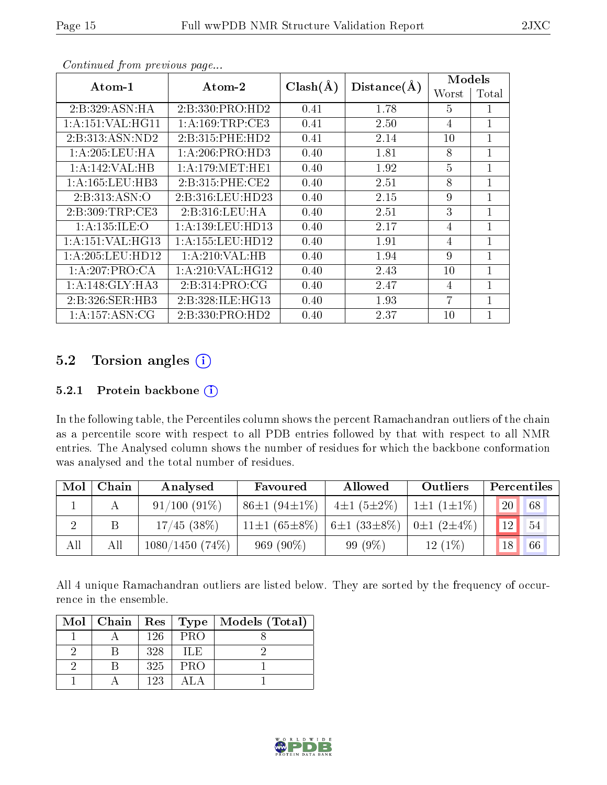| Atom-1              | $\boldsymbol{\mathrm{Atom}\text{-}2}$ |      |                                      | <b>Models</b>  |                |
|---------------------|---------------------------------------|------|--------------------------------------|----------------|----------------|
|                     |                                       |      | $Clash(\AA)$<br>Distance(A)<br>Worst |                | Total          |
| 2:B:329:ASN:HA      | 2:B:330:PRO:HD2                       | 0.41 | 1.78                                 | 5              | 1              |
| 1:A:151:VAL:HG11    | 1: A:169:TRP:CE3                      | 0.41 | 2.50                                 | 4              | $\mathbf{1}$   |
| 2:B:313:ASN:ND2     | 2:B:315:PHE:HD2                       | 0.41 | 2.14                                 | 10             | $\mathbf{1}$   |
| 1: A:205:LEU:HA     | 1: A:206:PRO:HD3                      | 0.40 | 1.81                                 | 8              | 1              |
| 1:A:142:VAL:HB      | 1:A:179:MET:HE1                       | 0.40 | 1.92                                 | $\overline{5}$ | $\mathbf{1}$   |
| 1: A: 165: LEU: HB3 | 2:B:315:PHE:CE2                       | 0.40 | 2.51                                 | 8              | $\overline{1}$ |
| 2: B: 313: ASN: O   | 2:B:316:LEU:HD23                      | 0.40 | 2.15                                 | 9              | $\mathbf{1}$   |
| 2: B:309:TRP:CE3    | 2:B:316:LEU:HA                        | 0.40 | 2.51                                 | 3              | $\overline{1}$ |
| 1:A:135:ILE:O       | 1:A:139:LEU:HD13                      | 0.40 | 2.17                                 | $\overline{4}$ | $\mathbf 1$    |
| 1:A:151:VAL:HG13    | 1:A:155:LEU:HD12                      | 0.40 | 1.91                                 | $\overline{4}$ | $\mathbf{1}$   |
| 1: A:205:LEU:HD12   | 1: A:210: VAL:HB                      | 0.40 | 1.94                                 | 9              | $\overline{1}$ |
| 1:A:207:PRO:CA      | 1: A:210: VAL:HG12                    | 0.40 | 2.43                                 | 10             | $\mathbf{1}$   |
| 1: A:148: GLY:HA3   | 2: B:314: PRO:CG                      | 0.40 | 2.47                                 | $\overline{4}$ | 1              |
| 2:B:326:SER:HB3     | 2:B:328:ILE:HG13                      | 0.40 | 1.93                                 | 7              | 1              |
| 1: A: 157: ASN: CG  | 2:B:330:PRO:HD2                       | 0.40 | 2.37                                 | 10             | $\mathbf 1$    |

## 5.2 Torsion angles (i)

#### 5.2.1 Protein backbone (i)

In the following table, the Percentiles column shows the percent Ramachandran outliers of the chain as a percentile score with respect to all PDB entries followed by that with respect to all NMR entries. The Analysed column shows the number of residues for which the backbone conformation was analysed and the total number of residues.

| Mol | Chain | Analysed       | Favoured                  | Allowed                    | Outliers                 | Percentiles      |
|-----|-------|----------------|---------------------------|----------------------------|--------------------------|------------------|
|     |       | $91/100(91\%)$ | $86\pm1(94\pm1\%)$        | $4\pm1(5\pm2\%)$           | $1 \pm 1$ (1 $\pm 1\%$ ) | 68 <br><b>20</b> |
|     |       | $17/45$ (38\%) | 11 $\pm$ 1 (65 $\pm$ 8\%) | 6±1 (33±8\%)   0±1 (2±4\%) |                          | 12<br>54         |
| All | All   | 1080/1450(74%) | $969(90\%)$               | $99(9\%)$                  | $12(1\%)$                | 18<br>66         |

All 4 unique Ramachandran outliers are listed below. They are sorted by the frequency of occurrence in the ensemble.

| $Mol$   Chain |     | $ {\rm Res}\> {\rm Type}\> $ | Models (Total) |
|---------------|-----|------------------------------|----------------|
|               | 126 | <b>PRO</b>                   |                |
|               | 328 | TLE.                         |                |
|               | 325 | PRO                          |                |
|               | 123 |                              |                |

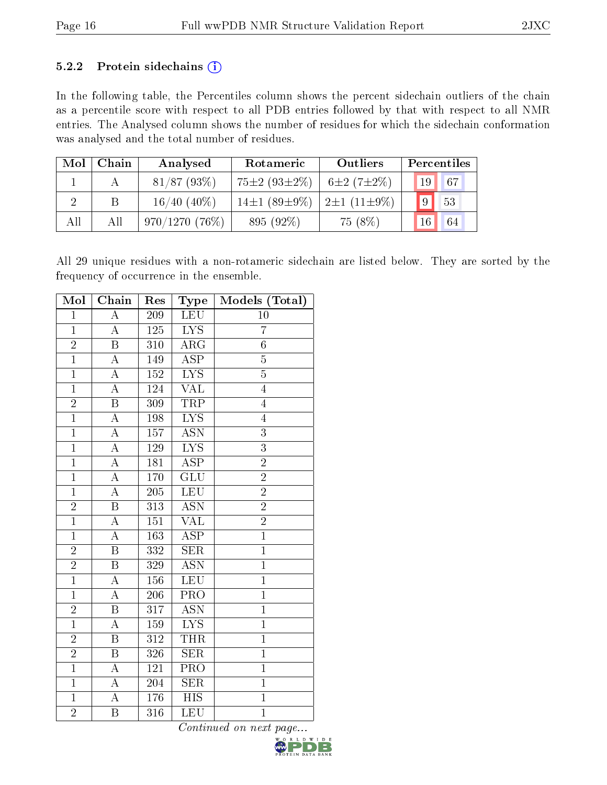#### 5.2.2 Protein sidechains  $(i)$

In the following table, the Percentiles column shows the percent sidechain outliers of the chain as a percentile score with respect to all PDB entries followed by that with respect to all NMR entries. The Analysed column shows the number of residues for which the sidechain conformation was analysed and the total number of residues.

| Mol | Chain | Analysed         | Rotameric                                         | Outliers         | Percentiles     |    |
|-----|-------|------------------|---------------------------------------------------|------------------|-----------------|----|
|     |       | $81/87$ (93\%)   | $75 \pm 2 (93 \pm 2\%)$                           | $6\pm2(7\pm2\%)$ | 19 <sup>°</sup> | 67 |
|     | B     | $16/40(40\%)$    | $14\pm1$ (89 $\pm9\%$ )   2 $\pm1$ (11 $\pm9\%$ ) |                  |                 | 53 |
| All | All   | $970/1270(76\%)$ | 895 (92%)                                         | 75 (8%)          | 16              | 64 |

All 29 unique residues with a non-rotameric sidechain are listed below. They are sorted by the frequency of occurrence in the ensemble.

| Mol            | Chain                   | Res              | Type                      | Models (Total)  |
|----------------|-------------------------|------------------|---------------------------|-----------------|
| $\mathbf{1}$   | $\boldsymbol{A}$        | $209\,$          | LEU                       | 10              |
| $\mathbf{1}$   | $\overline{\rm A}$      | $\overline{125}$ | $\overline{\text{LYS}}$   | $\overline{7}$  |
| $\overline{2}$ | $\overline{B}$          | 310              | ARG                       | $6\phantom{.0}$ |
| $\overline{1}$ | $\boldsymbol{A}$        | 149              | $\overline{\text{ASP}}$   | $\overline{5}$  |
| $\overline{1}$ | $\overline{A}$          | 152              | $\overline{\text{LYS}}$   | $\overline{5}$  |
| $\overline{1}$ | $\overline{\rm A}$      | 124              | VAL                       | $\overline{4}$  |
| $\overline{2}$ | $\overline{\mathrm{B}}$ | 309              | <b>TRP</b>                | $\overline{4}$  |
| $\mathbf{1}$   | $\overline{\rm A}$      | 198              | <b>LYS</b>                | $\overline{4}$  |
| $\overline{1}$ | $\overline{A}$          | 157              | $\overline{\mathrm{ASN}}$ | $\overline{3}$  |
| $\overline{1}$ | $\overline{\rm A}$      | 129              | $\overline{\text{LYS}}$   | $\overline{3}$  |
| $\overline{1}$ | $\overline{A}$          | 181              | $\overline{\text{ASP}}$   | $\overline{2}$  |
| $\overline{1}$ | $\overline{A}$          | 170              | $\overline{\text{GLU}}$   | $\overline{2}$  |
| $\overline{1}$ | $\overline{\rm A}$      | 205              | LEU                       | $\overline{2}$  |
| $\overline{2}$ | $\overline{\mathrm{B}}$ | 313              | $\overline{\text{ASN}}$   | $\overline{2}$  |
| $\overline{1}$ | $\overline{\rm A}$      | $\overline{151}$ | <b>VAL</b>                | $\overline{2}$  |
| $\overline{1}$ | $\overline{\rm A}$      | 163              | $\overline{\text{ASP}}$   | $\overline{1}$  |
| $\overline{2}$ | $\overline{\mathrm{B}}$ | 332              | $\overline{\text{SER}}$   | $\overline{1}$  |
| $\overline{2}$ | $\boldsymbol{B}$        | 329              | <b>ASN</b>                | $\mathbf{1}$    |
| $\overline{1}$ | $\overline{\rm A}$      | 156              | <b>LEU</b>                | $\overline{1}$  |
| $\overline{1}$ | $\boldsymbol{A}$        | 206              | PRO                       | $\overline{1}$  |
| $\overline{2}$ | $\overline{\mathrm{B}}$ | 317              | <b>ASN</b>                | $\mathbf{1}$    |
| $\overline{1}$ | $\overline{\rm A}$      | 159              | $\overline{\text{LYS}}$   | $\overline{1}$  |
| $\overline{2}$ | $\boldsymbol{B}$        | 312              | <b>THR</b>                | $\mathbf{1}$    |
| $\overline{2}$ | $\overline{\mathrm{B}}$ | 326              | $\overline{\text{SER}}$   | $\overline{1}$  |
| $\mathbf{1}$   | A                       | 121              | PRO                       | $\mathbf{1}$    |
| $\overline{1}$ | $\boldsymbol{A}$        | 204              | $\overline{\text{SER}}$   | $\overline{1}$  |
| $\overline{1}$ | A                       | 176              | <b>HIS</b>                | $\overline{1}$  |
| $\overline{2}$ | $\boldsymbol{B}$        | 316              | LEU                       | $\overline{1}$  |

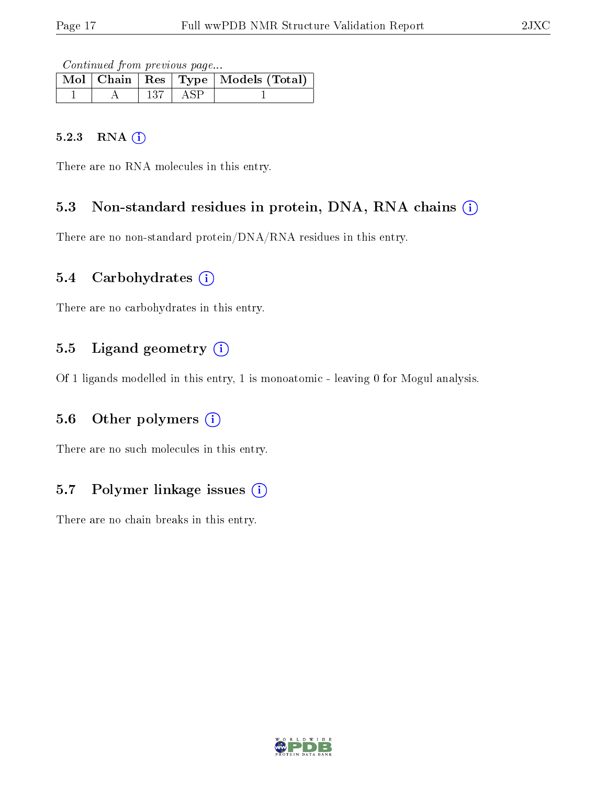Continued from previous page...

|  |     |     | Mol   Chain   Res   Type   Models (Total) |
|--|-----|-----|-------------------------------------------|
|  | 137 | ASP |                                           |

#### 5.2.3 RNA [O](https://www.wwpdb.org/validation/2017/NMRValidationReportHelp#rna)i

There are no RNA molecules in this entry.

#### 5.3 Non-standard residues in protein, DNA, RNA chains (i)

There are no non-standard protein/DNA/RNA residues in this entry.

#### 5.4 Carbohydrates (i)

There are no carbohydrates in this entry.

### 5.5 Ligand geometry  $(i)$

Of 1 ligands modelled in this entry, 1 is monoatomic - leaving 0 for Mogul analysis.

#### 5.6 [O](https://www.wwpdb.org/validation/2017/NMRValidationReportHelp#nonstandard_residues_and_ligands)ther polymers (i)

There are no such molecules in this entry.

### 5.7 Polymer linkage issues  $(i)$

There are no chain breaks in this entry.